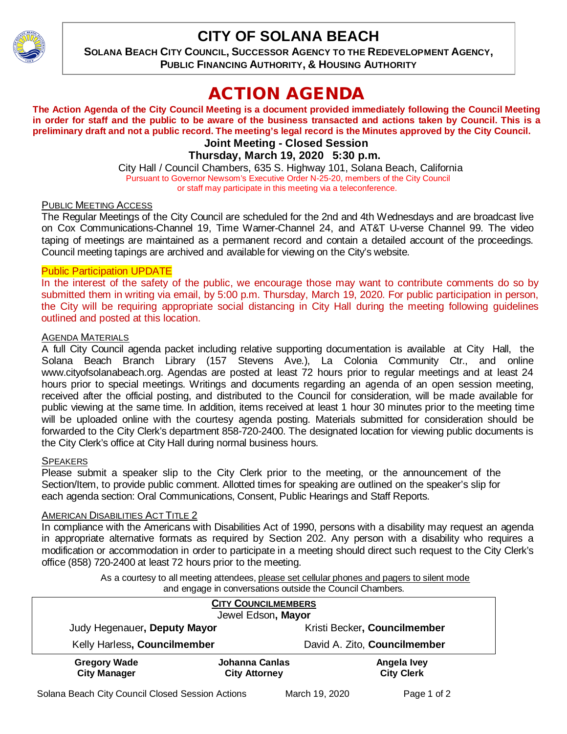

## **CITY OF SOLANA BEACH**

**SOLANA BEACH CITY COUNCIL, SUCCESSOR AGENCY TO THE REDEVELOPMENT AGENCY, PUBLIC FINANCING AUTHORITY, & HOUSING AUTHORITY**

# ACTION AGENDA

**The Action Agenda of the City Council Meeting is a document provided immediately following the Council Meeting in order for staff and the public to be aware of the business transacted and actions taken by Council. This is a preliminary draft and not a public record. The meeting's legal record is the Minutes approved by the City Council. Joint Meeting - Closed Session**

**Thursday, March 19, 2020 5:30 p.m.**

City Hall / Council Chambers, 635 S. Highway 101, Solana Beach, California Pursuant to Governor Newsom's Executive Order N-25-20, members of the City Council or staff may participate in this meeting via a teleconference.

## PUBLIC MEETING ACCESS

The Regular Meetings of the City Council are scheduled for the 2nd and 4th Wednesdays and are broadcast live on Cox Communications-Channel 19, Time Warner-Channel 24, and AT&T U-verse Channel 99. The video taping of meetings are maintained as a permanent record and contain a detailed account of the proceedings. Council meeting tapings are archived and available for viewing on the City's website.

## Public Participation UPDATE

In the interest of the safety of the public, we encourage those may want to contribute comments do so by submitted them in writing via email, by 5:00 p.m. Thursday, March 19, 2020. For public participation in person, the City will be requiring appropriate social distancing in City Hall during the meeting following guidelines outlined and posted at this location.

## AGENDA MATERIALS

A full City Council agenda packet including relative supporting documentation is available at City Hall, the Solana Beach Branch Library (157 Stevens Ave.), La Colonia Community Ctr., and online [www.cityofsolanabeach.org.](http://www.cityofsolanabeach.org/) Agendas are posted at least 72 hours prior to regular meetings and at least 24 hours prior to special meetings. Writings and documents regarding an agenda of an open session meeting, received after the official posting, and distributed to the Council for consideration, will be made available for public viewing at the same time. In addition, items received at least 1 hour 30 minutes prior to the meeting time will be uploaded online with the courtesy agenda posting. Materials submitted for consideration should be forwarded to the City Clerk's department 858-720-2400. The designated location for viewing public documents is the City Clerk's office at City Hall during normal business hours.

### **SPEAKERS**

Please submit a speaker slip to the City Clerk prior to the meeting, or the announcement of the Section/Item, to provide public comment. Allotted times for speaking are outlined on the speaker's slip for each agenda section: Oral Communications, Consent, Public Hearings and Staff Reports.

## AMERICAN DISABILITIES ACT TITLE 2

In compliance with the Americans with Disabilities Act of 1990, persons with a disability may request an agenda in appropriate alternative formats as required by Section 202. Any person with a disability who requires a modification or accommodation in order to participate in a meeting should direct such request to the City Clerk's office (858) 720-2400 at least 72 hours prior to the meeting.

> As a courtesy to all meeting attendees, please set cellular phones and pagers to silent mode and engage in conversations outside the Council Chambers.

| <b>CITY COUNCILMEMBERS</b>                       |                                        |                |                                  |  |
|--------------------------------------------------|----------------------------------------|----------------|----------------------------------|--|
| Jewel Edson, Mayor                               |                                        |                |                                  |  |
| Judy Hegenauer, Deputy Mayor                     |                                        |                | Kristi Becker, Councilmember     |  |
| Kelly Harless, Councilmember                     |                                        |                | David A. Zito, Councilmember     |  |
| <b>Gregory Wade</b><br><b>City Manager</b>       | Johanna Canlas<br><b>City Attorney</b> |                | Angela Ivey<br><b>City Clerk</b> |  |
| Solana Beach City Council Closed Session Actions |                                        | March 19, 2020 | Page 1 of 2                      |  |